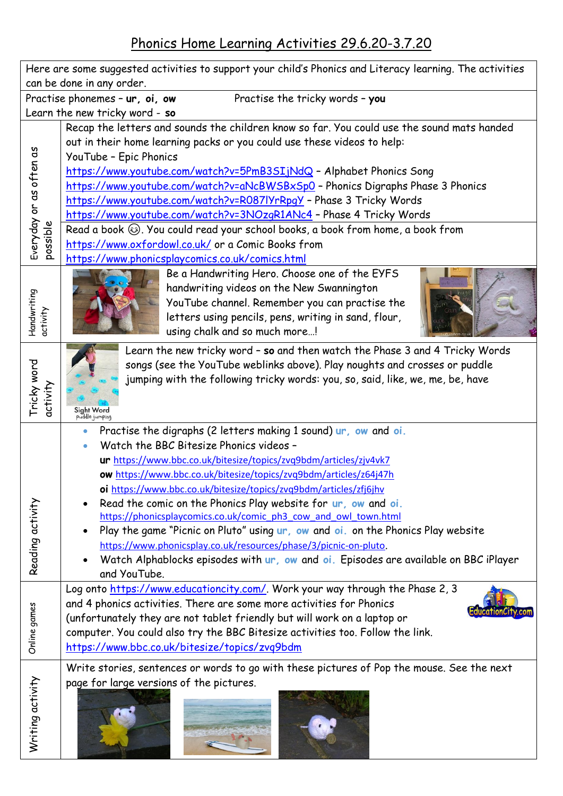Phonics Home Learning Activities 29.6.20-3.7.20

| Here are some suggested activities to support your child's Phonics and Literacy learning. The activities<br>can be done in any order. |                                                                                                                                                                                                                                                                                                                                                                                                                                                                                                                                                                                                                                                                                                                               |
|---------------------------------------------------------------------------------------------------------------------------------------|-------------------------------------------------------------------------------------------------------------------------------------------------------------------------------------------------------------------------------------------------------------------------------------------------------------------------------------------------------------------------------------------------------------------------------------------------------------------------------------------------------------------------------------------------------------------------------------------------------------------------------------------------------------------------------------------------------------------------------|
| Practise phonemes - ur, oi, ow<br>Practise the tricky words - you                                                                     |                                                                                                                                                                                                                                                                                                                                                                                                                                                                                                                                                                                                                                                                                                                               |
| Learn the new tricky word - so                                                                                                        |                                                                                                                                                                                                                                                                                                                                                                                                                                                                                                                                                                                                                                                                                                                               |
|                                                                                                                                       | Recap the letters and sounds the children know so far. You could use the sound mats handed<br>out in their home learning packs or you could use these videos to help:<br>YouTube - Epic Phonics                                                                                                                                                                                                                                                                                                                                                                                                                                                                                                                               |
| Everyday or as often as<br>possible                                                                                                   | https://www.youtube.com/watch?v=5PmB3SIjNdQ - Alphabet Phonics Song<br>https://www.youtube.com/watch?v=aNcBWSBxSp0 - Phonics Digraphs Phase 3 Phonics<br>https://www.youtube.com/watch?v=R087lYrRpqY - Phase 3 Tricky Words<br>https://www.youtube.com/watch?v=3NOzgR1ANc4 - Phase 4 Tricky Words<br>Read a book $\circledcirc$ . You could read your school books, a book from home, a book from<br>https://www.oxfordowl.co.uk/ or a Comic Books from                                                                                                                                                                                                                                                                       |
| Handwriting<br>activity                                                                                                               | https://www.phonicsplaycomics.co.uk/comics.html<br>Be a Handwriting Hero. Choose one of the EYFS<br>handwriting videos on the New Swannington<br>YouTube channel. Remember you can practise the<br>letters using pencils, pens, writing in sand, flour,<br>using chalk and so much more!                                                                                                                                                                                                                                                                                                                                                                                                                                      |
| Tricky word<br>activity                                                                                                               | Learn the new tricky word - so and then watch the Phase 3 and 4 Tricky Words<br>songs (see the YouTube weblinks above). Play noughts and crosses or puddle<br>jumping with the following tricky words: you, so, said, like, we, me, be, have<br>Sight Word<br>puddle jumping                                                                                                                                                                                                                                                                                                                                                                                                                                                  |
| Reading activity                                                                                                                      | Practise the digraphs (2 letters making 1 sound) ur, ow and oi.<br>Watch the BBC Bitesize Phonics videos -<br>ur https://www.bbc.co.uk/bitesize/topics/zvq9bdm/articles/zjv4vk7<br>ow https://www.bbc.co.uk/bitesize/topics/zvq9bdm/articles/z64j47h<br>oi https://www.bbc.co.uk/bitesize/topics/zvq9bdm/articles/zfj6jhv<br>Read the comic on the Phonics Play website for ur, ow and oi.<br>https://phonicsplaycomics.co.uk/comic ph3 cow and owl town.html<br>Play the game "Picnic on Pluto" using ur, ow and oi. on the Phonics Play website<br>https://www.phonicsplay.co.uk/resources/phase/3/picnic-on-pluto.<br>Watch Alphablocks episodes with ur, ow and oi. Episodes are available on BBC iPlayer<br>and YouTube. |
| Online games                                                                                                                          | Log onto https://www.educationcity.com/. Work your way through the Phase 2, 3<br>and 4 phonics activities. There are some more activities for Phonics<br>(unfortunately they are not tablet friendly but will work on a laptop or<br>computer. You could also try the BBC Bitesize activities too. Follow the link.<br>https://www.bbc.co.uk/bitesize/topics/zvq9bdm                                                                                                                                                                                                                                                                                                                                                          |
| Writing activity                                                                                                                      | Write stories, sentences or words to go with these pictures of Pop the mouse. See the next<br>page for large versions of the pictures.                                                                                                                                                                                                                                                                                                                                                                                                                                                                                                                                                                                        |